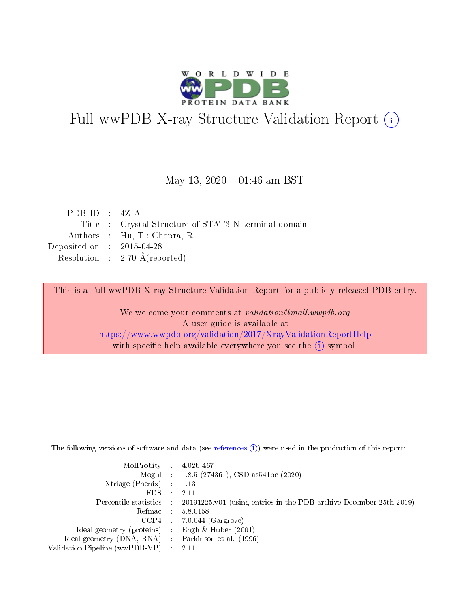

# Full wwPDB X-ray Structure Validation Report (i)

### May 13,  $2020 - 01:46$  am BST

| PDBID : 4ZIA                         |                                                      |
|--------------------------------------|------------------------------------------------------|
|                                      | Title : Crystal Structure of STAT3 N-terminal domain |
|                                      | Authors : Hu, T.; Chopra, R.                         |
| Deposited on $\therefore$ 2015-04-28 |                                                      |
|                                      | Resolution : $2.70 \text{ Å}$ (reported)             |
|                                      |                                                      |

This is a Full wwPDB X-ray Structure Validation Report for a publicly released PDB entry.

We welcome your comments at validation@mail.wwpdb.org A user guide is available at <https://www.wwpdb.org/validation/2017/XrayValidationReportHelp> with specific help available everywhere you see the  $(i)$  symbol.

The following versions of software and data (see [references](https://www.wwpdb.org/validation/2017/XrayValidationReportHelp#references)  $(1)$ ) were used in the production of this report:

| $MolProbability$ : 4.02b-467                        |                                                                                            |
|-----------------------------------------------------|--------------------------------------------------------------------------------------------|
|                                                     | Mogul : 1.8.5 (274361), CSD as 541be (2020)                                                |
| Xtriage (Phenix) $: 1.13$                           |                                                                                            |
| EDS :                                               | -2.11                                                                                      |
|                                                     | Percentile statistics : 20191225.v01 (using entries in the PDB archive December 25th 2019) |
| Refmac 58.0158                                      |                                                                                            |
|                                                     | $CCP4$ 7.0.044 (Gargrove)                                                                  |
| Ideal geometry (proteins) : Engh $\&$ Huber (2001)  |                                                                                            |
| Ideal geometry (DNA, RNA) : Parkinson et al. (1996) |                                                                                            |
| Validation Pipeline (wwPDB-VP) : 2.11               |                                                                                            |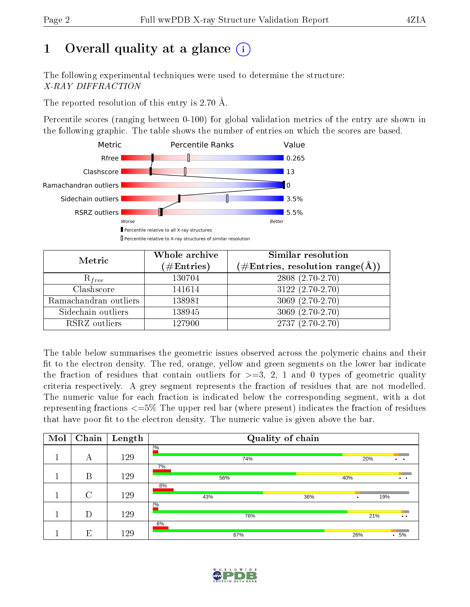# 1 [O](https://www.wwpdb.org/validation/2017/XrayValidationReportHelp#overall_quality)verall quality at a glance  $(i)$

The following experimental techniques were used to determine the structure: X-RAY DIFFRACTION

The reported resolution of this entry is 2.70 Å.

Percentile scores (ranging between 0-100) for global validation metrics of the entry are shown in the following graphic. The table shows the number of entries on which the scores are based.



| Metric                | Whole archive<br>$(\#\text{Entries})$ | Similar resolution<br>$(\#\text{Entries},\, \text{resolution}\; \text{range}(\textup{\AA}))$ |
|-----------------------|---------------------------------------|----------------------------------------------------------------------------------------------|
| $R_{free}$            | 130704                                | $2808(2.70-2.70)$                                                                            |
| Clashscore            | 141614                                | $3122(2.70-2.70)$                                                                            |
| Ramachandran outliers | 138981                                | $3069(2.70-2.70)$                                                                            |
| Sidechain outliers    | 138945                                | $3069(2.70-2.70)$                                                                            |
| RSRZ outliers         | 127900                                | $2737(2.70-2.70)$                                                                            |

The table below summarises the geometric issues observed across the polymeric chains and their fit to the electron density. The red, orange, yellow and green segments on the lower bar indicate the fraction of residues that contain outliers for  $>=3, 2, 1$  and 0 types of geometric quality criteria respectively. A grey segment represents the fraction of residues that are not modelled. The numeric value for each fraction is indicated below the corresponding segment, with a dot representing fractions  $\epsilon=5\%$  The upper red bar (where present) indicates the fraction of residues that have poor fit to the electron density. The numeric value is given above the bar.

| Mol | Chain  | Length | Quality of chain |                                                     |
|-----|--------|--------|------------------|-----------------------------------------------------|
|     | А      | 129    | 20/0<br>74%      | 20%<br>$\cdot$ $\cdot$                              |
|     | Β      | 129    | 7%<br>56%        | 40%<br>$\cdot$ $\cdot$                              |
|     | $\cap$ | 129    | 8%<br>43%        | 36%<br>19%                                          |
|     | D      | 129    | 20/0<br>76%      | 21%<br>$\bullet\hspace{0.4mm}\bullet\hspace{0.4mm}$ |
|     | E      | 129    | 6%<br>67%        | $.5\%$<br>26%                                       |

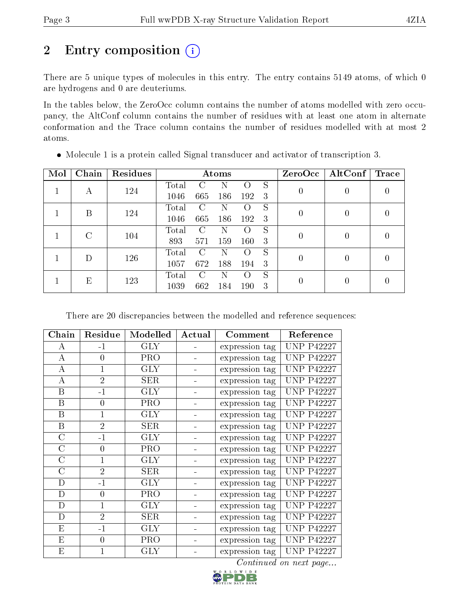# 2 Entry composition (i)

There are 5 unique types of molecules in this entry. The entry contains 5149 atoms, of which 0 are hydrogens and 0 are deuteriums.

In the tables below, the ZeroOcc column contains the number of atoms modelled with zero occupancy, the AltConf column contains the number of residues with at least one atom in alternate conformation and the Trace column contains the number of residues modelled with at most 2 atoms.

| Mol | Chain | Residues | Atoms |               |     |                    |    | ZeroOcc  | AltConf  | <b>Trace</b> |
|-----|-------|----------|-------|---------------|-----|--------------------|----|----------|----------|--------------|
|     |       | 124      | Total | ( )           |     |                    | S  |          |          |              |
|     | А     |          | 1046  | 665           | 186 | 192                | -3 | 0        | 0        |              |
|     | В     | 124      | Total | $\mathcal{C}$ | Ν   | $\left( \ \right)$ | S  | $\theta$ | $\theta$ |              |
|     |       |          | 1046  | 665           | 186 | 192                | -3 |          |          |              |
|     | C     | 104      | Total | C             | N   | $\left( \ \right)$ | S  | 0        | 0        |              |
|     |       |          | 893   | 571           | 159 | 160                | 3  |          |          |              |
|     |       | 126      | Total | C             | N   | $^{\rm ()}$        | S  |          | 0        |              |
|     |       |          | 1057  | 672           | 188 | 194                | 3  | 0        |          |              |
|     |       |          | Total | $\mathcal{C}$ | N   | $^{\rm ()}$        | S  |          | 0        |              |
| Е   | 123   | 1039     | 662   | 184           | 190 | 3                  |    |          |          |              |

Molecule 1 is a protein called Signal transducer and activator of transcription 3.

There are 20 discrepancies between the modelled and reference sequences:

| Chain            | Residue        | Modelled   | Actual | Comment        | Reference         |
|------------------|----------------|------------|--------|----------------|-------------------|
| А                | $-1$           | GLY        |        | expression tag | <b>UNP P42227</b> |
| A                | $\theta$       | <b>PRO</b> |        | expression tag | <b>UNP P42227</b> |
| A                | $\mathbf{1}$   | GLY        |        | expression tag | <b>UNP P42227</b> |
| А                | $\overline{2}$ | <b>SER</b> |        | expression tag | <b>UNP P42227</b> |
| B                | $-1$           | <b>GLY</b> |        | expression tag | <b>UNP P42227</b> |
| $\boldsymbol{B}$ | $\overline{0}$ | PRO        |        | expression tag | <b>UNP P42227</b> |
| $\boldsymbol{B}$ | 1              | <b>GLY</b> |        | expression tag | <b>UNP P42227</b> |
| B                | $\overline{2}$ | <b>SER</b> |        | expression tag | <b>UNP P42227</b> |
| $\mathcal{C}$    | $-1$           | <b>GLY</b> |        | expression tag | <b>UNP P42227</b> |
| $\mathcal{C}$    | $\theta$       | <b>PRO</b> |        | expression tag | <b>UNP P42227</b> |
| $\rm C$          | $\mathbf{1}$   | GLY        |        | expression tag | <b>UNP P42227</b> |
| $\mathcal{C}$    | $\overline{2}$ | <b>SER</b> |        | expression tag | <b>UNP P42227</b> |
| D                | $-1$           | <b>GLY</b> |        | expression tag | <b>UNP P42227</b> |
| D                | $\theta$       | <b>PRO</b> |        | expression tag | <b>UNP P42227</b> |
| D                | 1              | <b>GLY</b> |        | expression tag | <b>UNP P42227</b> |
| D                | $\overline{2}$ | <b>SER</b> |        | expression tag | <b>UNP P42227</b> |
| E                | $-1$           | GLY        |        | expression tag | <b>UNP P42227</b> |
| E                | $\theta$       | <b>PRO</b> |        | expression tag | <b>UNP P42227</b> |
| E                |                | <b>GLY</b> |        | expression tag | <b>UNP P42227</b> |

Continued on next page...

D W I D E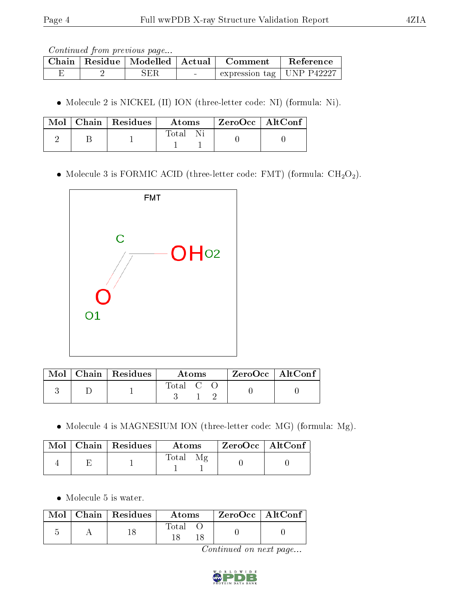|  | Chain   Residue   Modelled   Actual | Comment                           | Reference |
|--|-------------------------------------|-----------------------------------|-----------|
|  | SER                                 | $\pm$ expression tag   UNP P42227 |           |

Molecule 2 is NICKEL (II) ION (three-letter code: NI) (formula: Ni).

|  | Mol   Chain   Residues | Atoms <b>A</b> | $\mid$ ZeroOcc $\mid$ AltConf $\mid$ |  |
|--|------------------------|----------------|--------------------------------------|--|
|  |                        | Total          |                                      |  |

 $\bullet$  Molecule 3 is FORMIC ACID (three-letter code: FMT) (formula:  $\rm CH_2O_2).$ 



|  | $\text{Mol}$   Chain   Residues | Atoms              |  |  | $ZeroOcc \mid AltConf$ |  |
|--|---------------------------------|--------------------|--|--|------------------------|--|
|  |                                 | $\mathrm{Total}$ C |  |  |                        |  |

Molecule 4 is MAGNESIUM ION (three-letter code: MG) (formula: Mg).

|  | $Mol$   Chain   Residues | Atoms | ZeroOcc   AltConf |  |
|--|--------------------------|-------|-------------------|--|
|  |                          | Total |                   |  |

Molecule 5 is water.

| Mol | Chain   Residues | Atoms | ZeroOcc   AltConf |  |
|-----|------------------|-------|-------------------|--|
|     |                  | Total |                   |  |

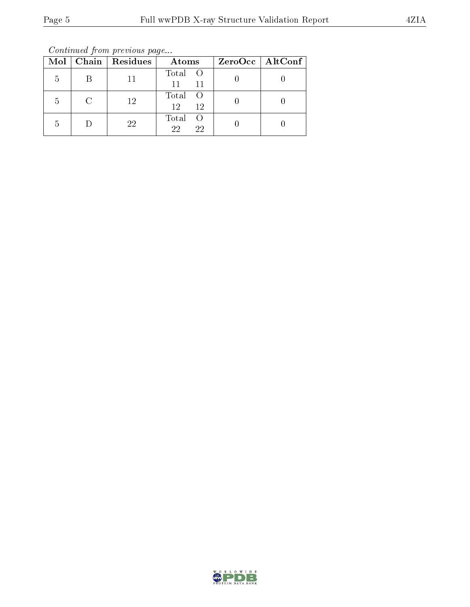Continued from previous page...

|   |        | $Mol$   Chain   Residues | Atoms                           | $ZeroOcc \   \ AltConf$ |
|---|--------|--------------------------|---------------------------------|-------------------------|
| 5 |        |                          | Total O<br>11<br>11             |                         |
| 5 | $\cap$ | 12                       | Total<br>$\bigcirc$<br>12<br>12 |                         |
| 5 |        | 22                       | Total<br>22<br>22               |                         |

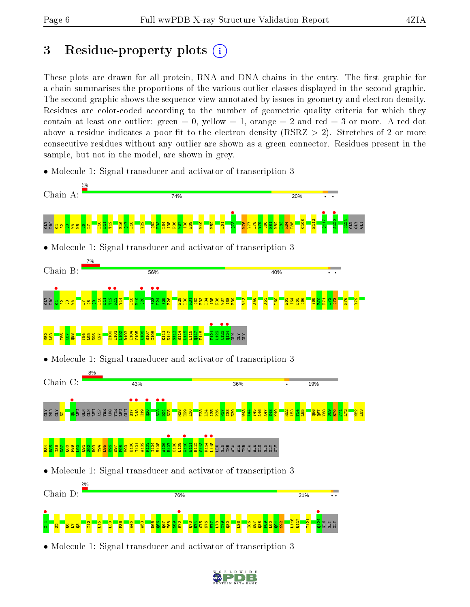## 3 Residue-property plots  $(i)$

These plots are drawn for all protein, RNA and DNA chains in the entry. The first graphic for a chain summarises the proportions of the various outlier classes displayed in the second graphic. The second graphic shows the sequence view annotated by issues in geometry and electron density. Residues are color-coded according to the number of geometric quality criteria for which they contain at least one outlier: green  $= 0$ , yellow  $= 1$ , orange  $= 2$  and red  $= 3$  or more. A red dot above a residue indicates a poor fit to the electron density ( $\text{RSRZ} > 2$ ). Stretches of 2 or more consecutive residues without any outlier are shown as a green connector. Residues present in the sample, but not in the model, are shown in grey.

- Chain A: 74% 20%  $\bullet$   $\bullet$  $\frac{1}{117}$ **A120** C108 E112  $124$ ge<mark>r gelyn</mark>  $\frac{1}{2}$ 비  $\frac{12}{11}$ E16  $\Xi$  $\frac{8}{11}$  $\frac{22}{2}$  $\frac{32}{2}$ ឌួ  $\frac{134}{2}$  $\frac{35}{4}$ P36  $\frac{1}{2}$ I38  $\frac{8}{2}$ K49  $\frac{52}{2}$ L61  $\frac{8}{2}$ V77  $\frac{8}{1}$  $\frac{5}{2}$  $\frac{80}{2}$  $\frac{1}{2}$ N82  $\frac{3}{2}$ R84 R85  $\Xi$ GLY GLY  $\mathbf{g}_\parallel$ L7 • Molecule 1: Signal transducer and activator of transcription 3 Chain B: 56% 40% and<br>Geland <mark>C</mark><br>Geland Bar •<br>12<br>13 **•**<br>"  $\frac{1}{2}$  $\frac{\bullet}{\frac{323}{25}}$  $\frac{1}{24}$  $\frac{1}{2}$ E1<br>E1 Y14  $\frac{8}{11}$ H19  $\frac{1}{25}$  $\frac{26}{1}$ E29  $\frac{8}{2}$  $\frac{1}{2}$  $\frac{32}{2}$  $\frac{33}{2}$  $\frac{134}{2}$ A35  $\frac{8}{2}$ W37 I38  $\frac{8}{2}$  $\frac{1}{2}$  $\frac{46}{4}$  $\frac{53}{4}$ L60 E63 I64 D65  $\frac{1}{2}$  $\frac{8}{20}$  $\frac{1}{\sqrt{2}}$  $F_1$  $\mathbb{E}$  $\mathbb{E}$ N76 Y79 L7  $\frac{8}{12}$  $\mathbf{P}$  $\frac{1}{21}$  $\frac{1}{41}$  $q124$  • E100 I101 A102 R103 I104 V105 A106 R107  $\frac{8}{108}$ E111 E112 S113 R114  $\frac{15}{11}$ L116 Q117 T118 A122 N82  $\frac{3}{2}$  $\frac{186}{181}$  $\frac{87}{2}$  $\frac{8}{2}$ Y94  $\frac{195}{2}$ E96  $\frac{168}{16}$ GLN GLY GLY • Molecule 1: Signal transducer and activator of transcription 3 Chain C: 43% 36% 19% e<br>GRY <mark>S</mark>el<br>GRY S<mark>8</mark>  $\frac{1}{2}$  $\frac{1}{13}$  $\frac{1}{2}$  $\frac{8}{23}$  $\frac{1}{24}$ GLN GLN LEU ASP THR ARG TYR LEU  $\Xi$  $\frac{9}{2}$  $525$ M28  $\frac{2}{2}$  $\frac{8}{1}$  $\frac{33}{2}$  $\frac{134}{2}$ A35 P36  $\frac{57}{2}$  $\frac{8}{13}$  $\frac{8}{2}$  $\frac{1}{2}$  $\frac{44}{4}$ Y45 A46 A47  $\frac{38}{5}$ K49  $\frac{152}{2}$  $\frac{153}{2}$  $\frac{1}{2}$  $\frac{55}{2}$  $\frac{8}{5}$  $\overline{q}$  $\frac{88}{1}$  $\frac{8}{2}$ R70  $\frac{2}{1}$ N82  $\frac{83}{2}$ E1 **R**107 W110 • **e**<br>E114 **e** •<br><mark>S</mark><br>Baae deeddaaa E100 I101 A102 R103 I104 V105 A106 C108 L109 E111 E112 S113 R84 R85 I86  $\frac{187}{2}$  $\frac{88}{2}$  $\frac{89}{2}$  $\frac{8}{2}$  $\frac{51}{2}$  $\frac{8}{2}$ R93 Y94 L95  $\frac{8}{2}$ K97  $\frac{8}{2}$  $\frac{99}{20}$ • Molecule 1: Signal transducer and activator of transcription 3 Chain D: 76% 21% G-1 • S2Q6L7Q8 **•**<br>B<sub>70</sub>  $24$  • L116  $\frac{117}{117}$ T121  $\frac{12}{11}$  $\frac{16}{11}$  $\frac{8}{1}$  $\frac{8}{2}$ A46  $\frac{53}{4}$ D65  $\frac{8}{5}$  $\overline{\text{g}}$ Y68  $\frac{8}{2}$  $\frac{1}{2}$  $E_1$ S75  $\frac{8}{10}$  $\frac{1}{2}$  $\frac{8}{1}$  $\frac{8}{12}$  $\frac{80}{2}$  $\frac{23}{2}$ I86 K87  $\frac{88}{2}$  $\frac{8}{5}$  $\frac{1}{2}$  $\frac{51}{2}$  $\frac{2}{3}$  $\Xi$ GLY GLY
- Molecule 1: Signal transducer and activator of transcription 3

• Molecule 1: Signal transducer and activator of transcription 3

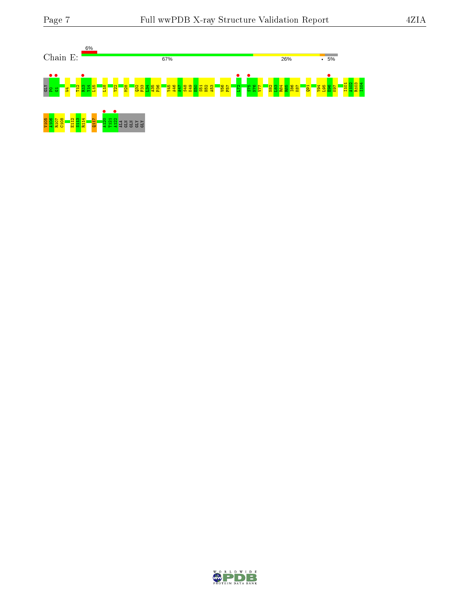

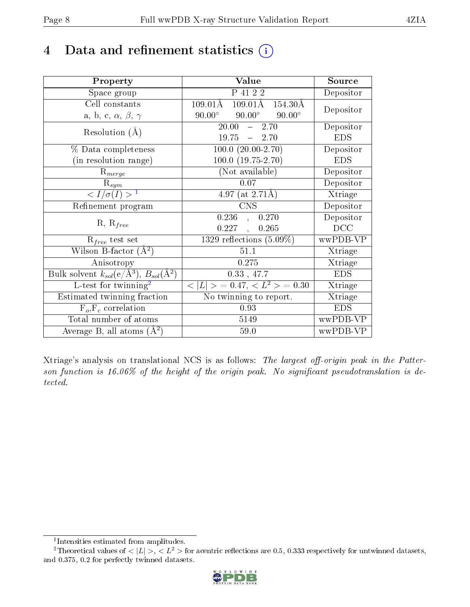## 4 Data and refinement statistics  $(i)$

| Property                                                                | Value                                               | Source     |
|-------------------------------------------------------------------------|-----------------------------------------------------|------------|
| Space group                                                             | P 41 2 2                                            | Depositor  |
| Cell constants                                                          | $109.01\text{\AA}$<br>154.30Å<br>$109.01\text{\AA}$ | Depositor  |
| a, b, c, $\alpha$ , $\beta$ , $\gamma$                                  | $90.00^\circ$<br>$90.00^\circ$<br>$90.00^\circ$     |            |
| Resolution $(A)$                                                        | $-2.70$<br>20.00                                    | Depositor  |
|                                                                         | $19.75 = 2.70$                                      | <b>EDS</b> |
| % Data completeness                                                     | $100.0 (20.00 - 2.70)$                              | Depositor  |
| (in resolution range)                                                   | $100.0 (19.75 - 2.70)$                              | <b>EDS</b> |
| $R_{merge}$                                                             | (Not available)                                     | Depositor  |
| $\mathrm{R}_{sym}$                                                      | 0.07                                                | Depositor  |
| $\langle I/\sigma(I) \rangle^{-1}$                                      | 4.97 (at $2.71\text{\AA}$ )                         | Xtriage    |
| Refinement program                                                      | <b>CNS</b>                                          | Depositor  |
|                                                                         | 0.236,<br>0.270                                     | Depositor  |
| $R, R_{free}$                                                           | $0.227$ ,<br>0.265                                  | DCC        |
| $R_{free}$ test set                                                     | 1329 reflections $(5.09\%)$                         | wwPDB-VP   |
| Wilson B-factor $(\AA^2)$                                               | 51.1                                                | Xtriage    |
| Anisotropy                                                              | 0.275                                               | Xtriage    |
| Bulk solvent $k_{sol}(\mathrm{e}/\mathrm{A}^3),\,B_{sol}(\mathrm{A}^2)$ | 0.33, 47.7                                          | <b>EDS</b> |
| L-test for twinning <sup>2</sup>                                        | $< L >$ = 0.47, $< L2$ > = 0.30                     | Xtriage    |
| Estimated twinning fraction                                             | No twinning to report.                              | Xtriage    |
| $F_o, F_c$ correlation                                                  | 0.93                                                | <b>EDS</b> |
| Total number of atoms                                                   | 5149                                                | wwPDB-VP   |
| Average B, all atoms $(A^2)$                                            | 59.0                                                | wwPDB-VP   |

Xtriage's analysis on translational NCS is as follows: The largest off-origin peak in the Patterson function is 16.06% of the height of the origin peak. No significant pseudotranslation is detected.

<sup>&</sup>lt;sup>2</sup>Theoretical values of  $\langle |L| \rangle$ ,  $\langle L^2 \rangle$  for acentric reflections are 0.5, 0.333 respectively for untwinned datasets, and 0.375, 0.2 for perfectly twinned datasets.



<span id="page-7-1"></span><span id="page-7-0"></span><sup>1</sup> Intensities estimated from amplitudes.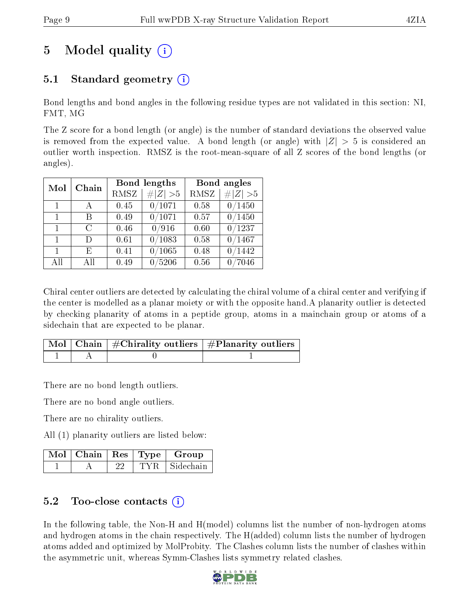# 5 Model quality  $(i)$

## 5.1 Standard geometry (i)

Bond lengths and bond angles in the following residue types are not validated in this section: NI, FMT, MG

The Z score for a bond length (or angle) is the number of standard deviations the observed value is removed from the expected value. A bond length (or angle) with  $|Z| > 5$  is considered an outlier worth inspection. RMSZ is the root-mean-square of all Z scores of the bond lengths (or angles).

| Mol          | Chain | Bond lengths |             | Bond angles |             |
|--------------|-------|--------------|-------------|-------------|-------------|
|              |       | RMSZ         | $\ Z\  > 5$ | RMSZ        | # $ Z  > 5$ |
| $\mathbf{1}$ | A     | 0.45         | 0/1071      | 0.58        | 0/1450      |
| $\mathbf{1}$ | В     | 0.49         | 0/1071      | 0.57        | 0/1450      |
| $\mathbf{1}$ | C     | 0.46         | 0/916       | 0.60        | 0/1237      |
| $\mathbf{1}$ | D     | 0.61         | 0/1083      | 0.58        | 0/1467      |
| 1            | E     | 0.41         | 0/1065      | 0.48        | /1442       |
| All          | All   | 0.49         | 0/5206      | 0.56        | 0/7046      |

Chiral center outliers are detected by calculating the chiral volume of a chiral center and verifying if the center is modelled as a planar moiety or with the opposite hand.A planarity outlier is detected by checking planarity of atoms in a peptide group, atoms in a mainchain group or atoms of a sidechain that are expected to be planar.

|  | $\mid$ Mol $\mid$ Chain $\mid$ #Chirality outliers $\mid$ #Planarity outliers $'$ |
|--|-----------------------------------------------------------------------------------|
|  |                                                                                   |

There are no bond length outliers.

There are no bond angle outliers.

There are no chirality outliers.

All (1) planarity outliers are listed below:

|  |  | $\mid$ Mol $\mid$ Chain $\mid$ Res $\mid$ Type $\mid$ Group |
|--|--|-------------------------------------------------------------|
|  |  | TYR Sidechain                                               |

### 5.2 Too-close contacts  $\binom{1}{1}$

In the following table, the Non-H and H(model) columns list the number of non-hydrogen atoms and hydrogen atoms in the chain respectively. The H(added) column lists the number of hydrogen atoms added and optimized by MolProbity. The Clashes column lists the number of clashes within the asymmetric unit, whereas Symm-Clashes lists symmetry related clashes.

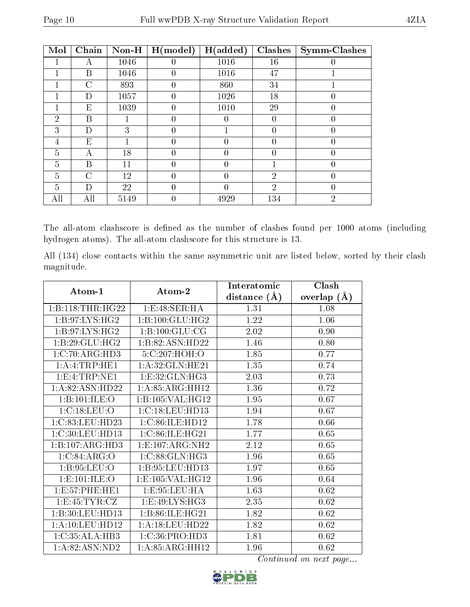| Mol            | Chain         | Non-H | H (model)        | H(added) | <b>Clashes</b> | Symm-Clashes     |
|----------------|---------------|-------|------------------|----------|----------------|------------------|
|                |               | 1046  | 0                | 1016     | 16             |                  |
|                | В             | 1046  | $\left( \right)$ | 1016     | 47             |                  |
|                | $\mathcal{C}$ | 893   | $\left( \right)$ | 860      | 34             |                  |
|                | D             | 1057  | $\theta$         | 1026     | 18             | 0                |
|                | Ε             | 1039  | $\theta$         | 1010     | 29             | 0                |
| $\overline{2}$ | Β             |       | 0                |          | 0              | 0                |
| 3              | D             | 3     | $\theta$         |          | 0              | 0                |
| 4              | E             |       | 0                |          | 0              | 0                |
| 5              | А             | 18    | 0                |          | 0              | $\left( \right)$ |
| $\overline{5}$ | В             | 11    | $\Omega$         |          |                | $\theta$         |
| 5              | $\mathcal{C}$ | 12    | 0                |          | $\overline{2}$ | $\Omega$         |
| 5              | D             | 22    | 0                |          | $\overline{2}$ | 0                |
| All            | All           | 5149  |                  | 4929     | 134            | $\overline{2}$   |

The all-atom clashscore is defined as the number of clashes found per 1000 atoms (including hydrogen atoms). The all-atom clashscore for this structure is 13.

All (134) close contacts within the same asymmetric unit are listed below, sorted by their clash magnitude.

| Atom-1                      | Atom-2                              | Interatomic    | Clash         |
|-----------------------------|-------------------------------------|----------------|---------------|
|                             |                                     | distance $(A)$ | overlap $(A)$ |
| 1:B:118:THR:HG22            | 1:E:48:SER:HA                       | 1.31           | 1.08          |
| 1: B:97: LYS: HG2           | 1: B: 100: GLU: HG2                 | 1.22           | 1.06          |
| 1: B:97: LYS: HG2           | 1:B:100:GLU:CG                      | 2.02           | 0.90          |
| 1:B:29:GLU:HG2              | 1:B:82:ASN:HD22                     | 1.46           | 0.80          |
| $1:C:70:ARG:H\overline{D3}$ | 5:C:207:HOH:O                       | 1.85           | 0.77          |
| 1: A: 4: TRP: HE1           | 1: A:32: GLN: HE21                  | 1.35           | 0.74          |
| 1: E: 4: TRP: NE1           | 1:E:32:GLN:HG3                      | 2.03           | 0.73          |
| 1:A:82:ASN:HD22             | 1: A:85: ARG:HH12                   | 1.36           | 0.72          |
| 1:B:101:ILE:O               | 1:B:105:VAL:HG12                    | 1.95           | 0.67          |
| 1:C:18:LEU:O                | 1:C:18:LEU:HD13                     | 1.94           | 0.67          |
| 1:C:83:LEU:HD23             | 1:C:86:ILE:HD12                     | 1.78           | 0.66          |
| 1:C:30:LEU:HD13             | 1:C:86:ILE:HG21                     | 1.77           | 0.65          |
| 1:B:107:ARG:HD3             | 1: E: 107: ARG: NH2                 | 2.12           | 0.65          |
| 1:C:84:ARG:O                | 1: C:88: GLN: HG3                   | 1.96           | 0.65          |
| 1: B:95: LEU:O              | 1:B:95:LEU:HD13                     | 1.97           | 0.65          |
| 1:E:101:ILE:O               | 1:E:105:VAL:HG12                    | 1.96           | 0.64          |
| 1: E: 57: PHE: HE1          | 1:E:95:LEU:HA                       | 1.63           | 0.62          |
| 1: E: 45: TYR: CZ           | 1: E:49: LYS: HG3                   | 2.35           | 0.62          |
| 1:B:30:LEU:HD13             | 1:B:86:ILE:HG21                     | 1.82           | 0.62          |
| 1: A: 10: LEU: HD12         | 1: A:18: LEU: HD22                  | 1.82           | 0.62          |
| 1:C:35:ALA:HB3              | 1: C: 36: PRO: HD3                  | 1.81           | $0.62\,$      |
| 1:A:82:ASN:ND2              | $1:A:85:A\overline{\text{RG:HH}12}$ | 1.96           | 0.62          |

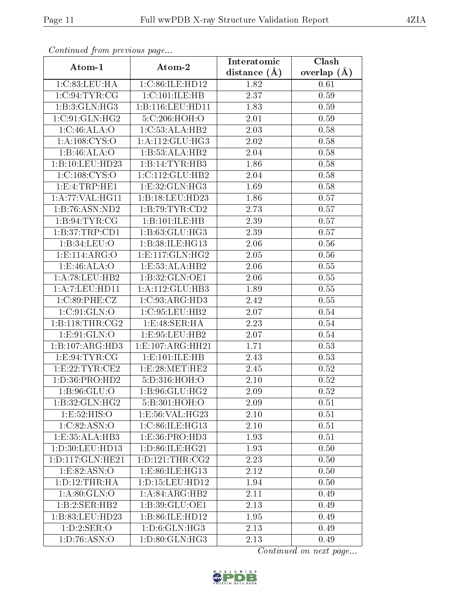| Continuea from previous page |                     | Clash<br>Interatomic |               |  |
|------------------------------|---------------------|----------------------|---------------|--|
| Atom-1                       | Atom-2              | distance $(A)$       | overlap $(A)$ |  |
| 1:C:83:LEU:HA                | 1:C:86:ILE:HD12     | 1.82                 | 0.61          |  |
| 1:C:94:TYR:CG                | 1:C:101:ILE:HB      | 2.37                 | 0.59          |  |
| 1:B:3:GLN:HG3                | 1:B:116:LEU:HD11    | 1.83                 | 0.59          |  |
| 1:C:91:GLN:HG2               | 5:C:206:HOH:O       | 2.01                 | 0.59          |  |
| 1:C:46:ALA:O                 | 1:C:53:ALA:HB2      | 2.03                 | 0.58          |  |
| 1:A:108:CYS:O                | 1: A:112: GLU:HG3   | 2.02                 | 0.58          |  |
| 1:B:46:ALA:O                 | 1:B:53:ALA:HB2      | 2.04                 | 0.58          |  |
| 1:B:10:LEU:HD23              | 1:B:14:TYR:HB3      | 1.86                 | 0.58          |  |
| 1:C:108:CYS:O                | 1:C:112:GLU:HB2     | 2.04                 | 0.58          |  |
| 1: E: 4: TRP: HE1            | 1:E:32:GLN:HG3      | 1.69                 | 0.58          |  |
| 1:A:77:VAL:HG11              | 1:B:18:LEU:HD23     | 1.86                 | 0.57          |  |
| 1:B:76:ASN:ND2               | 1: B:79: TYR: CD2   | 2.73                 | 0.57          |  |
| 1: B:94: TYR: CG             | 1:B:101:ILE:HB      | 2.39                 | 0.57          |  |
| 1:B:37:TRP:CD1               | 1: B:63: GLU: HG3   | 2.39                 | 0.57          |  |
| 1:B:34:LEU:O                 | 1:B:38:ILE:HG13     | 2.06                 | 0.56          |  |
| 1:E:114:ARG:O                | 1: E: 117: GLN: HG2 | 2.05                 | 0.56          |  |
| 1: E:46: ALA:O               | 1:E:53:ALA:HB2      | 2.06                 | 0.55          |  |
| 1:A:78:LEU:HB2               | 1:B:32:GLN:OE1      | 2.06                 | 0.55          |  |
| 1:A:7:LEU:HD11               | 1:A:112:GLU:HB3     | 1.89                 | 0.55          |  |
| 1:C:89:PHE:CZ                | 1:C:93:ARG:HD3      | 2.42                 | 0.55          |  |
| 1:C:91:GLN:O                 | 1:C:95:LEU:HB2      | 2.07                 | 0.54          |  |
| 1: B:118: THR:CG2            | 1: E:48: SER: HA    | 2.23                 | 0.54          |  |
| 1: E: 91: GLN: O             | 1:E:95:LEU:HB2      | 2.07                 | 0.54          |  |
| 1:B:107:ARG:HD3              | 1:E:107:ARG:HH21    | 1.71                 | 0.53          |  |
| 1:E:94:TYR:CG                | 1: E: 101: ILE: HB  | 2.43                 | 0.53          |  |
| 1: E: 22: TYR: CE2           | 1:E:28:MET:HE2      | 2.45                 | 0.52          |  |
| 1: D: 36: PRO: HD2           | 5:D:316:HOH:O       | 2.10                 | 0.52          |  |
| 1: B:96: GLU:O               | 1:B:96:GLU:HG2      | $2.09\,$             | 0.52          |  |
| 1:B:32:GLN:HG2               | 5:B:301:HOH:O       | 2.09                 | 0.51          |  |
| 1:E:52:HIS:O                 | 1:E:56:VAL:HG23     | 2.10                 | 0.51          |  |
| 1:C:82:ASN:O                 | 1:C:86:ILE:HG13     | 2.10                 | 0.51          |  |
| 1:E:35:ALA:HB3               | 1: E: 36: PRO: HD3  | 1.93                 | 0.51          |  |
| 1: D:30: LEU:HD13            | 1: D:86: ILE: HG21  | 1.93                 | 0.50          |  |
| 1: D: 117: GLN: HE21         | 1: D: 121: THR: CG2 | 2.23                 | 0.50          |  |
| 1:E:82:ASN:O                 | 1: E: 86: ILE: HG13 | 2.12                 | 0.50          |  |
| 1: D: 12: THR: HA            | 1: D: 15: LEU: HD12 | 1.94                 | 0.50          |  |
| 1: A:80: GLN:O               | 1: A:84: ARG:HB2    | 2.11                 | 0.49          |  |
| 1:B:2:SER:HB2                | 1:B:39:GLU:OE1      | 2.13                 | 0.49          |  |
| 1:B:83:LEU:HD23              | 1:B:86:ILE:HD12     | 1.95                 | 0.49          |  |
| 1: D: 2: SER: O              | 1: D:6: GLN: HG3    | 2.13                 | 0.49          |  |
| 1: D: 76: ASN:O              | 1: D:80: GLN: HG3   | 2.13                 | 0.49          |  |

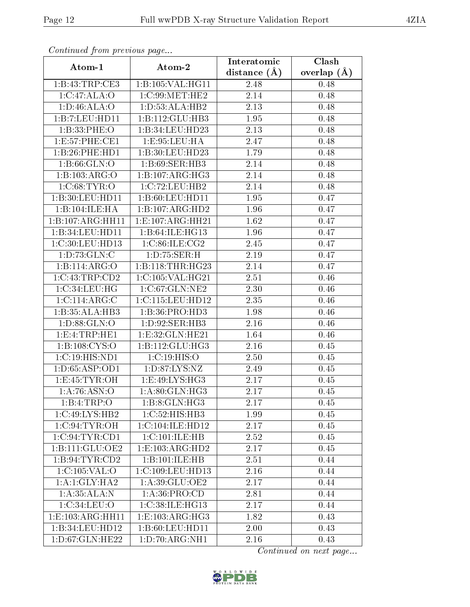| Communa from previous page |                      | Interatomic    | Clash           |  |
|----------------------------|----------------------|----------------|-----------------|--|
| Atom-1                     | Atom-2               | distance $(A)$ | overlap $(\AA)$ |  |
| 1:B:43:TRP:CE3             | 1:B:105:VAL:HG11     | 2.48           | 0.48            |  |
| 1:C:47:ALA:O               | 1:C:99:MET:HE2       | 2.14           | 0.48            |  |
| 1: D:46: ALA:O             | 1: D: 53: ALA: HB2   | 2.13           | 0.48            |  |
| 1:B:7:LEU:HD11             | 1:B:112:GLU:HB3      | 1.95           | 0.48            |  |
| 1:B:33:PHE:O               | 1:B:34:LEU:HD23      | 2.13           | 0.48            |  |
| 1: E: 57: PHE: CE1         | 1:E:95:LEU:HA        | 2.47           | 0.48            |  |
| 1:B:26:PHE:HD1             | 1:B:30:LEU:HD23      | 1.79           | 0.48            |  |
| 1: B:66: GLN:O             | 1:B:69:SER:HB3       | 2.14           | 0.48            |  |
| 1:B:103:ARG:O              | 1:B:107:ARG:HG3      | 2.14           | 0.48            |  |
| 1:C:68:TYR:O               | 1:C:72:LEU:HB2       | 2.14           | 0.48            |  |
| 1:B:30:LEU:HD11            | 1:B:60:LEU:HD11      | 1.95           | 0.47            |  |
| 1:B:104:ILE:HA             | 1:B:107:ARG:HD2      | 1.96           | 0.47            |  |
| 1:B:107:ARG:HH11           | 1: E: 107: ARG: HH21 | 1.62           | 0.47            |  |
| 1:B:34:LEU:HD11            | 1:B:64:ILE:HG13      | 1.96           | 0.47            |  |
| 1:C:30:LEU:HD13            | 1:C:86:ILE:CG2       | 2.45           | 0.47            |  |
| 1: D: 73: GLN: C           | 1:D:75:SER:H         | 2.19           | 0.47            |  |
| 1:B:114:ARG:O              | 1:B:118:THR:HG23     | 2.14           | 0.47            |  |
| 1:C:43:TRP:CD2             | 1:C:105:VAL:HG21     | 2.51           | 0.46            |  |
| 1:C:34:LEU:HG              | 1:C:67:GLN:NE2       | 2.30           | 0.46            |  |
| 1:C:114:ARG:C              | 1:C:115:LEU:HD12     | 2.35           | 0.46            |  |
| 1:B:35:ALA:HB3             | 1: B:36: PRO:HD3     | 1.98           | 0.46            |  |
| 1: D:88: GLN:O             | 1:D:92:SER:HB3       | 2.16           | 0.46            |  |
| 1: E: 4: TRP: HE1          | 1:E:32:GLN:HE21      | 1.64           | 0.46            |  |
| 1: B: 108: CYS:O           | 1:B:112:GLU:HG3      | 2.16           | $0.45\,$        |  |
| 1:C:19:HIS:ND1             | 1:C:19:HIS:O         | 2.50           | 0.45            |  |
| 1:D:65:ASP:OD1             | 1:D:87:LYS:NZ        | 2.49           | 0.45            |  |
| 1: E: 45: TYR: OH          | 1: E:49: LYS: HG3    | 2.17           | 0.45            |  |
| 1:A:76:ASN:O               | 1:A:80:GLN:HG3       | 2.17           | 0.45            |  |
| 1:B:4:TRP:O                | 1:B:8:GLN:HG3        | 2.17           | 0.45            |  |
| 1:C:49:LYS:HB2             | 1:C:52:HIS:HB3       | 1.99           | 0.45            |  |
| 1:C:94:TYR:OH              | 1:C:104:ILE:HD12     | 2.17           | 0.45            |  |
| 1:C:94:TYR:CD1             | 1:C:101:ILE:HB       | 2.52           | 0.45            |  |
| 1:B:111:GLU:OE2            | 1: E: 103: ARG: HD2  | 2.17           | 0.45            |  |
| 1:B:94:TYR:CD2             | 1:B:101:ILE:HB       | 2.51           | 0.44            |  |
| 1:C:105:VAL:O              | 1:C:109:LEU:HD13     | 2.16           | 0.44            |  |
| 1:A:1:GLY:HA2              | 1: A:39: GLU:OE2     | 2.17           | 0.44            |  |
| 1:A:35:ALA:N               | 1: A:36: PRO:CD      | 2.81           | 0.44            |  |
| 1:C:34:LEU:O               | 1:C:38:ILE:HG13      | 2.17           | 0.44            |  |
| 1: E: 103: ARG: HH11       | 1: E: 103: ARG: HG3  | 1.82           | 0.43            |  |
| 1:B:34:LEU:HD12            | 1:B:60:LEU:HD11      | 2.00           | 0.43            |  |
| 1:D:67:GLN:HE22            | 1:D:70:ARG:NH1       | 2.16           | 0.43            |  |

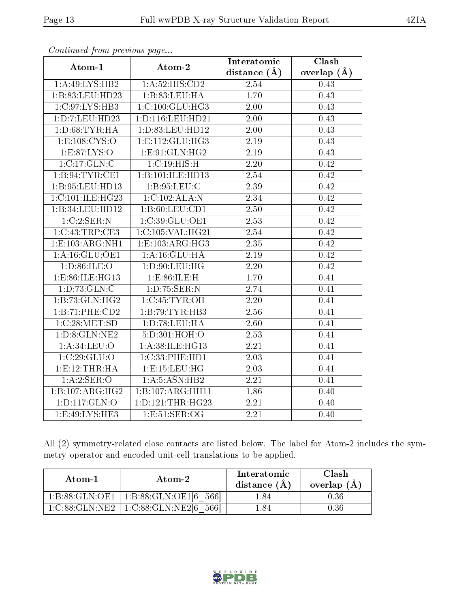|                             |                      | Interatomic       | Clash         |
|-----------------------------|----------------------|-------------------|---------------|
| Atom-1                      | Atom-2               | distance $(A)$    | overlap $(A)$ |
| 1:A:49:LYS:HB2              | 1: A:52: HIS: CD2    | 2.54              | 0.43          |
| 1:B:83:LEU:HD23             | 1:B:83:LEU:HA        | 1.70              | 0.43          |
| 1:C:97:LYS:HB3              | 1: C: 100: GLU: HG3  | 2.00              | 0.43          |
| 1:D:7:LEU:HD23              | 1: D: 116: LEU: HD21 | 2.00              | 0.43          |
| 1: D:68: TYR: HA            | 1:D:83:LEU:HD12      | 2.00              | 0.43          |
| 1: E: 108: CYS:O            | 1:E:112:GLU:HG3      | 2.19              | 0.43          |
| 1: E:87: LYS:O              | 1:E:91:GLN:HG2       | 2.19              | 0.43          |
| 1:C:17:GLN:C                | 1:C:19:HIS:H         | 2.20              | 0.42          |
| 1: B:94: TYR: CE1           | 1:B:101:ILE:HD13     | $\overline{2}.54$ | 0.42          |
| 1:B:95:LEU:HD13             | 1:B:95:LEU:C         | 2.39              | 0.42          |
| 1:C:101:ILE:HG23            | 1:C:102:ALA:N        | 2.34              | 0.42          |
| 1:B:34:LEU:HD12             | 1:B:60:LEU:CD1       | 2.50              | 0.42          |
| 1:C:2:SER:N                 | 1:C:39:GLU:OE1       | 2.53              | 0.42          |
| 1:C:43:TRP:CE3              | 1:C:105:VAL:HG21     | 2.54              | 0.42          |
| 1:E:103:ARG:NH1             | 1:E:103:ARG:HG3      | 2.35              | 0.42          |
| 1:A:16:GLU:OE1              | 1:A:16:GLU:HA        | 2.19              | 0.42          |
| 1: D:86: ILE: O             | 1: D: 90: LEU: HG    | 2.20              | 0.42          |
| 1:E:86:ILE:HG13             | 1: E:86: ILE:H       | 1.70              | 0.41          |
| $1: D: 7\overline{3:GLN:C}$ | 1: D: 75: SER: N     | 2.74              | 0.41          |
| 1:B:73:GLN:HG2              | 1:C:45:TYR:OH        | 2.20              | 0.41          |
| 1:B:71:PHE:CD2              | 1:B:79:TYR:HB3       | 2.56              | 0.41          |
| 1:C:28:MET:SD               | 1: D: 78: LEU: HA    | 2.60              | 0.41          |
| 1: D: 8: GLN: NE2           | 5:D:301:HOH:O        | 2.53              | 0.41          |
| 1: A:34:LEU:O               | 1:A:38:ILE:HG13      | 2.21              | 0.41          |
| 1:C:29:GLU:O                | 1:C:33:PHE:HD1       | 2.03              | 0.41          |
| 1: E: 12: THR: HA           | 1: E: 15: LEU: HG    | 2.03              | 0.41          |
| 1:A:2:SER:O                 | 1: A:5: ASN: HB2     | 2.21              | 0.41          |
| 1:B:107:ARG:HG2             | 1:B:107:ARG:HH11     | 1.86              | 0.40          |
| 1:D:117:GLN:O               | 1: D: 121: THR: HG23 | 2.21              | 0.40          |
| 1: E:49: LYS: HE3           | 1: E:51: SER:OG      | 2.21              | 0.40          |

All (2) symmetry-related close contacts are listed below. The label for Atom-2 includes the symmetry operator and encoded unit-cell translations to be applied.

| Atom-1                       | Atom-2                    | Interatomic<br>distance $(A)$ | Clash<br>overlap $(A)$ |
|------------------------------|---------------------------|-------------------------------|------------------------|
| 1:B:88:GLN:OE1               | 1:B:88:GLN:OE1[6]<br>5661 | -84                           | 1.36                   |
| $1-C.88 \cdot GLN \cdot NE2$ | 1:C:88:GLN:NE2[6]<br>5661 | .84                           | I.36                   |

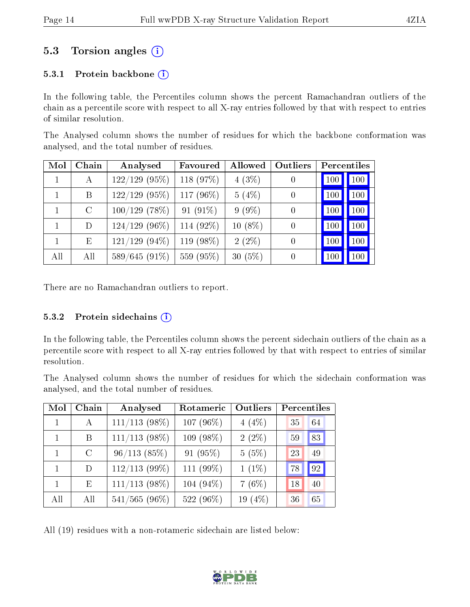### 5.3 Torsion angles (i)

#### 5.3.1 Protein backbone  $(i)$

In the following table, the Percentiles column shows the percent Ramachandran outliers of the chain as a percentile score with respect to all X-ray entries followed by that with respect to entries of similar resolution.

The Analysed column shows the number of residues for which the backbone conformation was analysed, and the total number of residues.

| Mol | Chain   | Analysed         | Favoured    | Allowed   | Outliers         | <b>Percentiles</b> |     |
|-----|---------|------------------|-------------|-----------|------------------|--------------------|-----|
|     | А       | $122/129$ (95%)  | 118 (97%)   | $4(3\%)$  | $\left( \right)$ | 100                | 100 |
|     | B       | $122/129$ (95%)  | 117 (96%)   | 5(4%)     | $\overline{0}$   | 100                | 100 |
|     | $\rm C$ | $100/129$ (78%)  | 91 $(91\%)$ | $9(9\%)$  | $\overline{0}$   | 100                | 100 |
|     | D       | $124/129$ (96%)  | 114 (92%)   | $10(8\%)$ | $\overline{0}$   | 100                | 100 |
|     | E       | $121/129$ (94\%) | 119 (98\%)  | $2(2\%)$  | $\overline{0}$   | 100                | 100 |
| All | All     | 589/645 (91%)    | 559 (95%)   | $30(5\%)$ | $\overline{0}$   | 100                | 100 |

There are no Ramachandran outliers to report.

#### 5.3.2 Protein sidechains  $(i)$

In the following table, the Percentiles column shows the percent sidechain outliers of the chain as a percentile score with respect to all X-ray entries followed by that with respect to entries of similar resolution.

The Analysed column shows the number of residues for which the sidechain conformation was analysed, and the total number of residues.

| Mol | Chain         | Analysed        | Rotameric    | Outliers   | Percentiles |    |
|-----|---------------|-----------------|--------------|------------|-------------|----|
|     | A             | $111/113$ (98%) | 107 $(96\%)$ | $4(4\%)$   | 35          | 64 |
|     | B             | $111/113$ (98%) | 109 (98%)    | $2(2\%)$   | 59          | 83 |
|     | $\mathcal{C}$ | 96/113(85%)     | 91 (95%)     | 5(5%)      | 23          | 49 |
|     | D             | $112/113$ (99%) | 111 (99%)    | $1(1\%)$   | 78          | 92 |
|     | E             | $111/113$ (98%) | 104 $(94\%)$ | $7(6\%)$   | 18          | 40 |
| All | All           | $541/565(96\%)$ | 522 (96%)    | 19 $(4\%)$ | 36          | 65 |

All (19) residues with a non-rotameric sidechain are listed below:

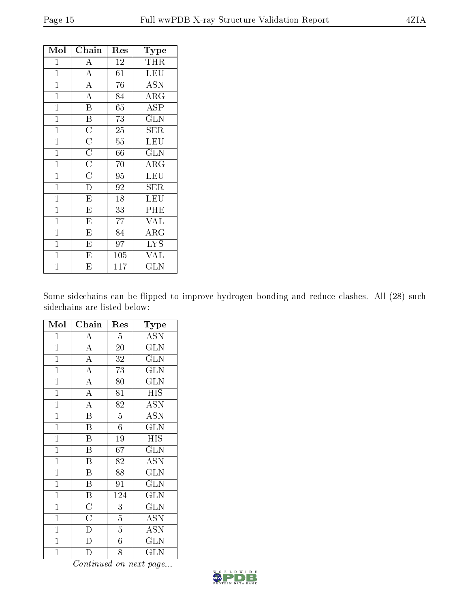| Mol            | Chain                                              | Res             | $\bf Type$              |
|----------------|----------------------------------------------------|-----------------|-------------------------|
| $\mathbf{1}$   | $\boldsymbol{A}$                                   | 12              | <b>THR</b>              |
| $\mathbf{1}$   | $\overline{A}$                                     | $\overline{61}$ | LEU                     |
| $\mathbf{1}$   | $\overline{A}$                                     | 76              | <b>ASN</b>              |
| $\mathbf{1}$   | $\overline{A}$                                     | 84              | ARG                     |
| $\overline{1}$ | $\overline{\mathrm{B}}$                            | 65              | ASP                     |
| $\mathbf{1}$   | $\overline{\mathrm{B}}$                            | 73              | <b>GLN</b>              |
| $\mathbf{1}$   | $\overline{C}$                                     | 25              | SER                     |
| $\mathbf{1}$   | $\frac{\overline{\text{C}}}{\overline{\text{C}}}}$ | $\overline{55}$ | LEU                     |
| $\overline{1}$ |                                                    | $\overline{66}$ | $\overline{\text{GLN}}$ |
| $\mathbf{1}$   |                                                    | 70              | ARG                     |
| $\mathbf{1}$   |                                                    | 95              | $\overline{\text{LEU}}$ |
| $\mathbf{1}$   | $\overline{\rm D}$                                 | 92              | <b>SER</b>              |
| $\mathbf{1}$   | $\overline{\mathrm{E}}$                            | 18              | LEU                     |
| $\mathbf{1}$   | $\overline{\mathrm{E}}$                            | 33              | PHE                     |
| $\mathbf{1}$   | $\overline{E}$                                     | 77              | <b>VAL</b>              |
| $\overline{1}$ | $\overline{\mathrm{E}}$                            | 84              | $\rm{ARG}$              |
| $\mathbf{1}$   | $\overline{\mathrm{E}}$                            | 97              | <b>LYS</b>              |
| $\mathbf{1}$   | $\overline{\mathrm{E}}$                            | 105             | <b>VAL</b>              |
| $\mathbf{1}$   | $\overline{E}$                                     | 117             | $_{\rm GLN}$            |

Some sidechains can be flipped to improve hydrogen bonding and reduce clashes. All (28) such sidechains are listed below:

| Mol            | Chain                   | Res             | $_{\rm Type}$             |
|----------------|-------------------------|-----------------|---------------------------|
| $\mathbf 1$    | $\overline{\rm A}$      | $\overline{5}$  | <b>ASN</b>                |
| $\mathbf{1}$   | $\overline{A}$          | 20              | <b>GLN</b>                |
| $\overline{1}$ | $\overline{A}$          | 32              | <b>GLN</b>                |
| $\overline{1}$ | $\overline{A}$          | $\overline{73}$ | $\overline{\text{GLN}}$   |
| $\mathbf{1}$   | $\overline{A}$          | 80              | $\overline{\text{GLN}}$   |
| $\overline{1}$ | $\overline{A}$          | $\overline{81}$ | $\overline{HIS}$          |
| $\mathbf{1}$   | $\overline{A}$          | 82              | <b>ASN</b>                |
| $\overline{1}$ | $\overline{\mathrm{B}}$ | $\overline{5}$  | $\overline{\mathrm{ASN}}$ |
| $\overline{1}$ | $\overline{\text{B}}$   | $\overline{6}$  | $\overline{\text{GLN}}$   |
| $\mathbf{1}$   | $\overline{\mathbf{B}}$ | 19              | $\overline{HIS}$          |
| $\overline{1}$ | $\overline{\mathrm{B}}$ | 67              | $\overline{{\rm GLN}}$    |
| $\mathbf{1}$   | Β                       | 82              | <b>ASN</b>                |
| $\overline{1}$ | $\overline{\mathrm{B}}$ | 88              | $\overline{\text{GLN}}$   |
| $\mathbf{1}$   | $\overline{\mathrm{B}}$ | 91              | <b>GLN</b>                |
| $\mathbf{1}$   | $\overline{\text{B}}$   | 124             | $\widetilde{{\rm GLN}}$   |
| $\overline{1}$ | $\overline{C}$          | 3               | $\overline{\text{GLN}}$   |
| $\mathbf{1}$   | $\overline{\rm C}$      | $\overline{5}$  | $\overline{A}$ SN         |
| $\overline{1}$ | $\overline{D}$          | $\overline{5}$  | $\overline{\mathrm{ASN}}$ |
| $\mathbf{1}$   | $\overline{\rm D}$      | $\overline{6}$  | <b>GLN</b>                |
| $\overline{1}$ | D                       | $\overline{8}$  | GLN                       |

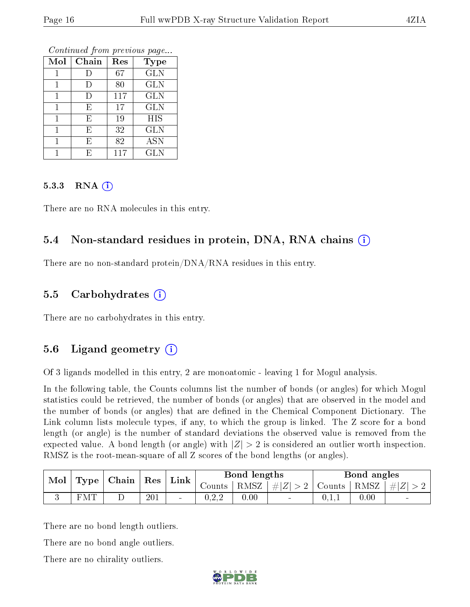| Mol | Chain  | Res | <b>Type</b> |
|-----|--------|-----|-------------|
|     | $\Box$ | 67  | <b>GLN</b>  |
|     | D      | 80  | <b>GLN</b>  |
|     | $\Box$ | 117 | <b>GLN</b>  |
|     | E      | 17  | <b>GLN</b>  |
|     | Ε      | 19  | <b>HIS</b>  |
|     | E      | 32  | <b>GLN</b>  |
|     | E      | 82  | <b>ASN</b>  |
|     | F.     | 117 | <b>GLN</b>  |

#### 5.3.3 RNA [O](https://www.wwpdb.org/validation/2017/XrayValidationReportHelp#rna)i

There are no RNA molecules in this entry.

#### 5.4 Non-standard residues in protein, DNA, RNA chains (i)

There are no non-standard protein/DNA/RNA residues in this entry.

### 5.5 Carbohydrates (i)

There are no carbohydrates in this entry.

### 5.6 Ligand geometry  $(i)$

Of 3 ligands modelled in this entry, 2 are monoatomic - leaving 1 for Mogul analysis.

In the following table, the Counts columns list the number of bonds (or angles) for which Mogul statistics could be retrieved, the number of bonds (or angles) that are observed in the model and the number of bonds (or angles) that are defined in the Chemical Component Dictionary. The Link column lists molecule types, if any, to which the group is linked. The Z score for a bond length (or angle) is the number of standard deviations the observed value is removed from the expected value. A bond length (or angle) with  $|Z| > 2$  is considered an outlier worth inspection. RMSZ is the root-mean-square of all Z scores of the bond lengths (or angles).

| $\bf{Mol}$<br>$\mid$ Type $\mid$ Chain $\mid$ Res $\mid$ |    |   | Link | Bond lengths   |                  |      | Bond angles                          |       |      |           |
|----------------------------------------------------------|----|---|------|----------------|------------------|------|--------------------------------------|-------|------|-----------|
|                                                          |    |   |      |                | Counts '         |      | $ RMSZ $ $\# Z  > 2$   Counts   RMSZ |       |      | $\pm  Z $ |
|                                                          | MT | ∸ | 201  | $\blacksquare$ | 022<br>J . 4 . 4 | 0.00 | $\sim$                               | 0.1,1 | 0.00 | $\sim$    |

There are no bond length outliers.

There are no bond angle outliers.

There are no chirality outliers.

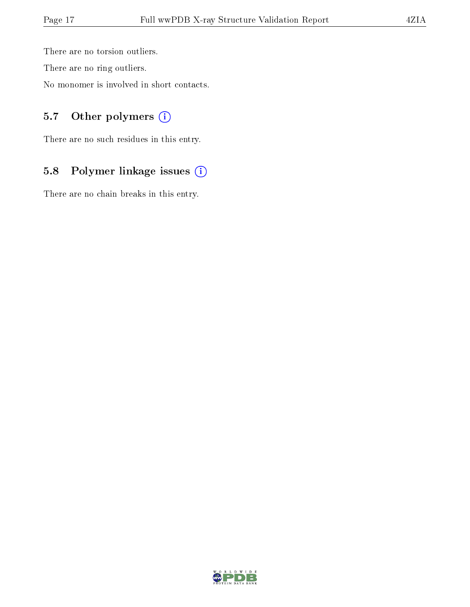There are no torsion outliers.

There are no ring outliers.

No monomer is involved in short contacts.

### 5.7 [O](https://www.wwpdb.org/validation/2017/XrayValidationReportHelp#nonstandard_residues_and_ligands)ther polymers (i)

There are no such residues in this entry.

## 5.8 Polymer linkage issues (i)

There are no chain breaks in this entry.

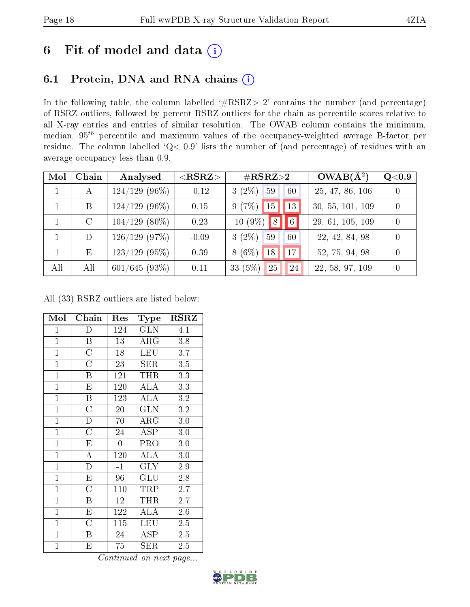## 6 Fit of model and data  $(i)$

## 6.1 Protein, DNA and RNA chains  $(i)$

In the following table, the column labelled  $#RSRZ> 2'$  contains the number (and percentage) of RSRZ outliers, followed by percent RSRZ outliers for the chain as percentile scores relative to all X-ray entries and entries of similar resolution. The OWAB column contains the minimum, median,  $95<sup>th</sup>$  percentile and maximum values of the occupancy-weighted average B-factor per residue. The column labelled ' $Q< 0.9$ ' lists the number of (and percentage) of residues with an average occupancy less than 0.9.

| Mol | Chain         | Analysed         | $<$ RSRZ $>$ | $\#\text{RSRZ}{>}2$                   | $OWAB(A^2)$      | Q <sub>0.9</sub> |
|-----|---------------|------------------|--------------|---------------------------------------|------------------|------------------|
|     | А             | $124/129$ (96\%) | $-0.12$      | $(2\%)$<br>59<br>60<br>3 <sub>0</sub> | 25, 47, 86, 106  | $\theta$         |
|     | Β             | $124/129$ (96\%) | 0.15         | 9(7%)<br>15<br>13                     | 30, 55, 101, 109 | $\theta$         |
|     | $\mathcal{C}$ | $104/129$ (80\%) | 0.23         | $\sqrt{8}$<br>$10(9\%)$<br> 6         | 29, 61, 105, 109 | $\theta$         |
|     | $\mathcal{D}$ | $126/129$ (97\%) | $-0.09$      | $3(2\%)$<br>59<br>60                  | 22, 42, 84, 98   | $\Omega$         |
|     | Ε             | $123/129$ (95%)  | 0.39         | 17 <sup>1</sup><br>$8(6\%)$<br>18     | 52, 75, 94, 98   | $\Omega$         |
| All | All           | $601/645(93\%)$  | 0.11         | 33 $(5%)$<br>25<br>24                 | 22, 58, 97, 109  | $\Omega$         |

All (33) RSRZ outliers are listed below:

| Mol            | Chain                   | Res                | Type                       | <b>RSRZ</b> |
|----------------|-------------------------|--------------------|----------------------------|-------------|
| $\mathbf{1}$   | D                       | 124                | $\overline{\text{GLN}}$    | 4.1         |
| $\overline{1}$ | B                       | 13                 | $\rm{ARG}$                 | 3.8         |
| $\overline{1}$ | $\overline{C}$          | 18                 | <b>LEU</b>                 | 3.7         |
| $\overline{1}$ | $\overline{\text{C}}$   | 23                 | $\overline{\text{SER}}$    | $3.5\,$     |
| $\mathbf{1}$   | B                       | 121                | <b>THR</b>                 | 3.3         |
| $\overline{1}$ | $\overline{\mathrm{E}}$ | 120                | $\overline{\rm ALA}$       | 3.3         |
| $\mathbf{1}$   | B                       | 123                | ALA                        | $3.2\,$     |
| $\mathbf{1}$   | $\overline{\rm C}$      | $20\,$             | <b>GLN</b>                 | 3.2         |
| $\mathbf{1}$   | $\mathbf D$             | 70                 | $\rm{ARG}$                 | $3.0\,$     |
| $\mathbf{1}$   | $\overline{\rm C}$      | 24                 | <b>ASP</b>                 | 3.0         |
| $\mathbf{1}$   | E                       | $\overline{0}$     | <b>PRO</b>                 | $3.0\,$     |
| $\overline{1}$ | $\overline{\rm A}$      | 120                | <b>ALA</b>                 | $3.0\,$     |
| $\mathbf{1}$   | $\overline{\rm D}$      | $-1$               | <b>GLY</b>                 | 2.9         |
| $\mathbf{1}$   | $\overline{E}$          | 96                 | GLU                        | 2.8         |
| $\mathbf{1}$   | $\overline{C}$          | 110                | TRP                        | 2.7         |
| $\overline{1}$ | $\overline{\mathrm{B}}$ | 12                 | <b>THR</b>                 | 2.7         |
| $\mathbf{1}$   | E                       | 122                | <b>ALA</b>                 | 2.6         |
| $\mathbf{1}$   | $\overline{\rm C}$      | 115                | LEU                        | 2.5         |
| $\overline{1}$ | B                       | 24                 | ASP                        | $2.5\,$     |
| $\mathbf{1}$   | E<br>$\sim$             | 75<br>$\mathbf{r}$ | <b>SER</b><br>$\mathbf{r}$ | 2.5         |